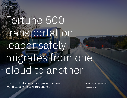

# Fortune 500 transportation leader safely migrates from one cloud to another

How J.B. Hunt assures app performance in hybrid cloud with IBM Turbonomic

by Elizabeth Sheehan 4-minute read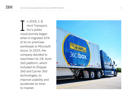n 2018, J. B. Hunt Transport, Inc's public cloud journey began when it migrated 25% of its on-premises workloads to Microsoft Azure. In 2019, the company decided to rearchitect its J.B. Hunt 360 platform, which included its Shipper 360 and Carrier 360 technologies, to improve usability and accelerate its time-The 2018<br>
Hunt T<br>
Inc's p<br>
cloud journ<br>
when it mig<br>
of its on-pre<br>
workloads<br>
Azure. In 2<br>
company d<br>
rearchitect<br>
360 platfor<br>
included its<br>
360 and Ca<br>
technologie<br>
improve us<br>
accelerate<br>
to-market.

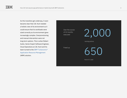As this transition got underway, it soon became clear that J.B. Hunt needed a holistic view of its environment so it could ensure that its workloads were sized correctly as its environment grew increasingly complex. Overprovisioning and manual intervention were not long-term options. This is when Robert Auten, Senior Expert Software Engineer, Cloud Operations at J.B. Hunt and his team turned to the [IBM® Turbonomic®](https://www.ibm.com/cloud/turbonomic)  [Application Resource Management](https://www.ibm.com/cloud/turbonomic)  (ARM) solution.

Over the course of 12 months executed

Freed up

2,000

resizing actions

650

hours in 1 year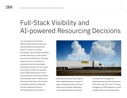## Full-Stack Visibility and AI-powered Resourcing Decisions

Two key aspects of Turbonomic ARM are the AI-powered resourcing recommendations and automated actions. For their on-premises environment, which consists of VMware and Microsoft Hyper V, Auten and his team are automating all non-disruptive actions 24x7 and are scaling nonproduction actions during a nightly maintenance window. Over the course of 12 months, Turbonomic executed nearly 2,000 resizing actions which assuming manual intervention requires 20 minutes per action — freed up over 650 hours of the team's time to focus on strategic initiatives. Turbonomic has also supported the team in their planning process for their on-



premises environment and has given them tangible evidence to present to upper management when new hosts need to be purchased. Additionally, it has helped the team ensure there

is an audit trail as changes are implemented across their environment: Turbonomic calls J.B. Hunt's IT Service Management (ITSM) webhook to create change records for all scaling actions.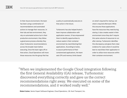In their Azure environment, the team has been using a combination of recommendations and automated actions to manage their resources. In their lab and test environment, they rely on automated actions but in their production environment, they follow a governance process whereby they share Turbonomic recommendations across the broader team before executing. Once the team signs off on that action, Cloud Operations will move those resources into the group that has a policy to automatically execute on that action in the future.

Turbonomic has also helped Auten's team improve collaboration with application owners. It has empowered them to identify opportunities to reduce waste in their container environment by rearchitecting their applications. According to Auten, to assure performance of their containerized applications, the team sets CPU and memory limits based

on what's required for startup, not what is required afterward. While this ensures those applications have the resources they need during startup, it also creates waste in their environment since they don't require this same volume of resources to run after startup. Turbonomic identifies this discrepancy and gives them clear evidence for cases where it would be best to rearchitect their application in order to utilize more resources within their container environment.

When we implemented the Google Cloud integration following "the first General Availability (GA) release, Turbonomic discovered everything correctly and gave us the correct recommendations right away. We executed on some of the recommendations, and it worked really well."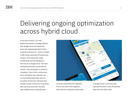### Delivering ongoing optimization across hybrid cloud

At the start of 2021, J.B. Hunt leadership entered a strategic alliance with Google Cloud and tasked the team with migrating the bulk of their compute environment — which included 1,000 virtual machines, 90 Kubernetes clusters, 915 Kubernetes nodes, 27,000 pods and 500 databases from Azure to Google Cloud. The team estimated the project would take six months. They were given six weeks to complete it. Due to their architecture, tools, and talent, they reduced a six to nine month project plan down to six weeks of execution. Because they already trusted Turbonomic to optimize their Azure environment, the team was confident their workloads were



correctly sized before the migration. Prior to the start of the migration, they knew the sizing they would need in Google Cloud. In the end, they executed the shift in only 35 business days with zero down-time.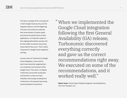The team is already off to a strong start in their Google Cloud journey, but the migration phase is just the beginning. The team will continue to optimize their environment to reduce waste and assure the performance of their applications. An important aspect in this ongoing optimization process will be their ability to prevent resourcing issues before they occur. That's where Turbonomic's Google Cloud integration will help.

As early users of Turbonomic's Google Cloud integration, Auten and his team have started by targeting their non-production environment within Google Cloud. Their plan is to deploy Turbonomic across their production environment, so they can track utilization and savings resulting from Turbonomic's AI-powered resourcing recommendations and actions.

When we implemented the "Google Cloud integration following the first General Availability (GA) release, Turbonomic discovered everything correctly and gave us the correct recommendations right away. We executed on some of the recommendations, and it worked really well."

**Robert Auten**, Senior Expert Software Engineer, Cloud Operations, J.B. Hunt Transport, Inc.